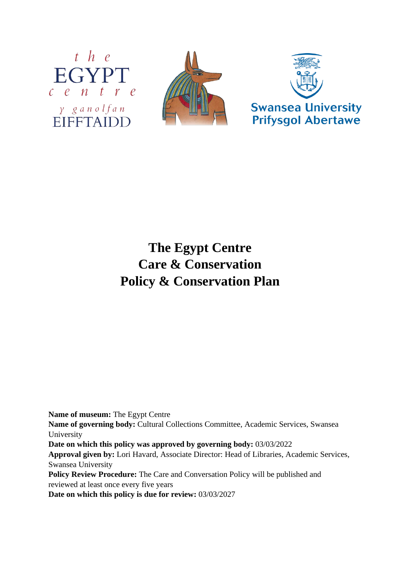





# **The Egypt Centre Care & Conservation Policy & Conservation Plan**

**Name of museum:** The Egypt Centre

**Name of governing body:** Cultural Collections Committee, Academic Services, Swansea University

**Date on which this policy was approved by governing body:** 03/03/2022

**Approval given by:** Lori Havard, Associate Director: Head of Libraries, Academic Services, Swansea University

**Policy Review Procedure:** The Care and Conversation Policy will be published and reviewed at least once every five years

**Date on which this policy is due for review:** 03/03/2027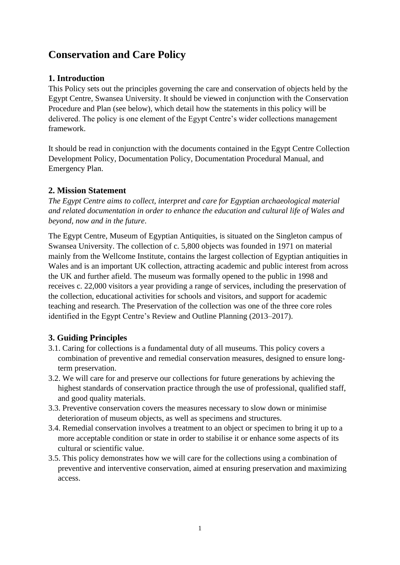# **Conservation and Care Policy**

#### **1. Introduction**

This Policy sets out the principles governing the care and conservation of objects held by the Egypt Centre, Swansea University. It should be viewed in conjunction with the Conservation Procedure and Plan (see below), which detail how the statements in this policy will be delivered. The policy is one element of the Egypt Centre's wider collections management framework.

It should be read in conjunction with the documents contained in the Egypt Centre Collection Development Policy, Documentation Policy, Documentation Procedural Manual, and Emergency Plan.

## **2. Mission Statement**

*The Egypt Centre aims to collect, interpret and care for Egyptian archaeological material and related documentation in order to enhance the education and cultural life of Wales and beyond, now and in the future*.

The Egypt Centre, Museum of Egyptian Antiquities, is situated on the Singleton campus of Swansea University. The collection of c. 5,800 objects was founded in 1971 on material mainly from the Wellcome Institute, contains the largest collection of Egyptian antiquities in Wales and is an important UK collection, attracting academic and public interest from across the UK and further afield. The museum was formally opened to the public in 1998 and receives c. 22,000 visitors a year providing a range of services, including the preservation of the collection, educational activities for schools and visitors, and support for academic teaching and research. The Preservation of the collection was one of the three core roles identified in the Egypt Centre's Review and Outline Planning (2013–2017).

#### **3. Guiding Principles**

- 3.1. Caring for collections is a fundamental duty of all museums. This policy covers a combination of preventive and remedial conservation measures, designed to ensure longterm preservation.
- 3.2. We will care for and preserve our collections for future generations by achieving the highest standards of conservation practice through the use of professional, qualified staff, and good quality materials.
- 3.3. Preventive conservation covers the measures necessary to slow down or minimise deterioration of museum objects, as well as specimens and structures.
- 3.4. Remedial conservation involves a treatment to an object or specimen to bring it up to a more acceptable condition or state in order to stabilise it or enhance some aspects of its cultural or scientific value.
- 3.5. This policy demonstrates how we will care for the collections using a combination of preventive and interventive conservation, aimed at ensuring preservation and maximizing access.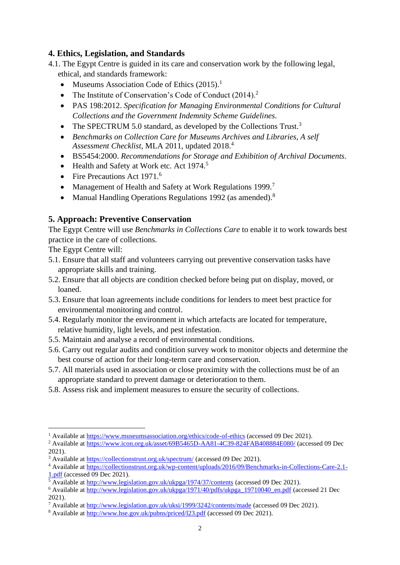#### **4. Ethics, Legislation, and Standards**

- 4.1. The Egypt Centre is guided in its care and conservation work by the following legal, ethical, and standards framework:
	- Museums Association Code of Ethics (2015).<sup>1</sup>
	- The Institute of Conservation's Code of Conduct (2014).<sup>2</sup>
	- PAS 198:2012. *Specification for Managing Environmental Conditions for Cultural Collections and the Government Indemnity Scheme Guidelines*.
	- The SPECTRUM 5.0 standard, as developed by the Collections Trust.<sup>3</sup>
	- *Benchmarks on Collection Care for Museums Archives and Libraries, A self Assessment Checklist*, MLA 2011, updated 2018. 4
	- BS5454:2000. *Recommendations for Storage and Exhibition of Archival Documents*.
	- Health and Safety at Work etc. Act 1974.<sup>5</sup>
	- Fire Precautions Act 1971.<sup>6</sup>
	- Management of Health and Safety at Work Regulations 1999.<sup>7</sup>
	- Manual Handling Operations Regulations 1992 (as amended).<sup>8</sup>

## **5. Approach: Preventive Conservation**

The Egypt Centre will use *Benchmarks in Collections Care* to enable it to work towards best practice in the care of collections.

The Egypt Centre will:

- 5.1. Ensure that all staff and volunteers carrying out preventive conservation tasks have appropriate skills and training.
- 5.2. Ensure that all objects are condition checked before being put on display, moved, or loaned.
- 5.3. Ensure that loan agreements include conditions for lenders to meet best practice for environmental monitoring and control.
- 5.4. Regularly monitor the environment in which artefacts are located for temperature, relative humidity, light levels, and pest infestation.
- 5.5. Maintain and analyse a record of environmental conditions.
- 5.6. Carry out regular audits and condition survey work to monitor objects and determine the best course of action for their long-term care and conservation.
- 5.7. All materials used in association or close proximity with the collections must be of an appropriate standard to prevent damage or deterioration to them.
- 5.8. Assess risk and implement measures to ensure the security of collections.

<sup>&</sup>lt;sup>1</sup> Available at<https://www.museumsassociation.org/ethics/code-of-ethics> (accessed 09 Dec 2021).

<sup>&</sup>lt;sup>2</sup> Available at<https://www.icon.org.uk/asset/69B5465D-AA81-4C39-824FAB408884E080/> (accessed 09 Dec 2021).

<sup>&</sup>lt;sup>3</sup> Available at<https://collectionstrust.org.uk/spectrum/> (accessed 09 Dec 2021).

<sup>4</sup> Available at [https://collectionstrust.org.uk/wp-content/uploads/2016/09/Benchmarks-in-Collections-Care-2.1-](https://collectionstrust.org.uk/wp-content/uploads/2016/09/Benchmarks-in-Collections-Care-2.1-1.pdf)  $\frac{1.pdf}{5 A40}$  $\frac{1.pdf}{5 A40}$  $\frac{1.pdf}{5 A40}$ (accessed 09 Dec 2021).

<sup>5</sup> Available at<http://www.legislation.gov.uk/ukpga/1974/37/contents> (accessed 09 Dec 2021).

<sup>6</sup> Available at [http://www.legislation.gov.uk/ukpga/1971/40/pdfs/ukpga\\_19710040\\_en.pdf](http://www.legislation.gov.uk/ukpga/1971/40/pdfs/ukpga_19710040_en.pdf) (accessed 21 Dec 2021).

<sup>&</sup>lt;sup>7</sup> Available at<http://www.legislation.gov.uk/uksi/1999/3242/contents/made> (accessed 09 Dec 2021).

<sup>8</sup> Available at<http://www.hse.gov.uk/pubns/priced/l23.pdf> (accessed 09 Dec 2021).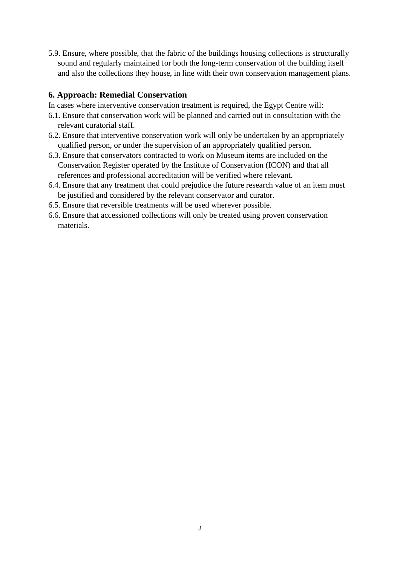5.9. Ensure, where possible, that the fabric of the buildings housing collections is structurally sound and regularly maintained for both the long-term conservation of the building itself and also the collections they house, in line with their own conservation management plans.

#### **6. Approach: Remedial Conservation**

In cases where interventive conservation treatment is required, the Egypt Centre will:

- 6.1. Ensure that conservation work will be planned and carried out in consultation with the relevant curatorial staff.
- 6.2. Ensure that interventive conservation work will only be undertaken by an appropriately qualified person, or under the supervision of an appropriately qualified person.
- 6.3. Ensure that conservators contracted to work on Museum items are included on the Conservation Register operated by the Institute of Conservation (ICON) and that all references and professional accreditation will be verified where relevant.
- 6.4. Ensure that any treatment that could prejudice the future research value of an item must be justified and considered by the relevant conservator and curator.
- 6.5. Ensure that reversible treatments will be used wherever possible.
- 6.6. Ensure that accessioned collections will only be treated using proven conservation materials.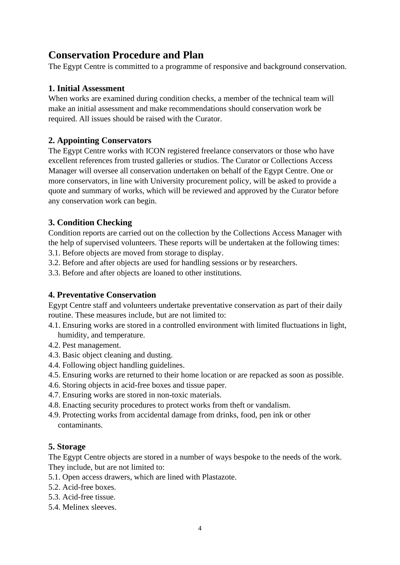# **Conservation Procedure and Plan**

The Egypt Centre is committed to a programme of responsive and background conservation.

## **1. Initial Assessment**

When works are examined during condition checks, a member of the technical team will make an initial assessment and make recommendations should conservation work be required. All issues should be raised with the Curator.

#### **2. Appointing Conservators**

The Egypt Centre works with ICON registered freelance conservators or those who have excellent references from trusted galleries or studios. The Curator or Collections Access Manager will oversee all conservation undertaken on behalf of the Egypt Centre. One or more conservators, in line with University procurement policy, will be asked to provide a quote and summary of works, which will be reviewed and approved by the Curator before any conservation work can begin.

# **3. Condition Checking**

Condition reports are carried out on the collection by the Collections Access Manager with the help of supervised volunteers. These reports will be undertaken at the following times:

3.1. Before objects are moved from storage to display.

3.2. Before and after objects are used for handling sessions or by researchers.

3.3. Before and after objects are loaned to other institutions.

#### **4. Preventative Conservation**

Egypt Centre staff and volunteers undertake preventative conservation as part of their daily routine. These measures include, but are not limited to:

- 4.1. Ensuring works are stored in a controlled environment with limited fluctuations in light, humidity, and temperature.
- 4.2. Pest management.
- 4.3. Basic object cleaning and dusting.
- 4.4. Following object handling guidelines.
- 4.5. Ensuring works are returned to their home location or are repacked as soon as possible.
- 4.6. Storing objects in acid-free boxes and tissue paper.
- 4.7. Ensuring works are stored in non-toxic materials.
- 4.8. Enacting security procedures to protect works from theft or vandalism.
- 4.9. Protecting works from accidental damage from drinks, food, pen ink or other contaminants.

#### **5. Storage**

The Egypt Centre objects are stored in a number of ways bespoke to the needs of the work. They include, but are not limited to:

- 5.1. Open access drawers, which are lined with Plastazote.
- 5.2. Acid-free boxes.
- 5.3. Acid-free tissue.
- 5.4. Melinex sleeves.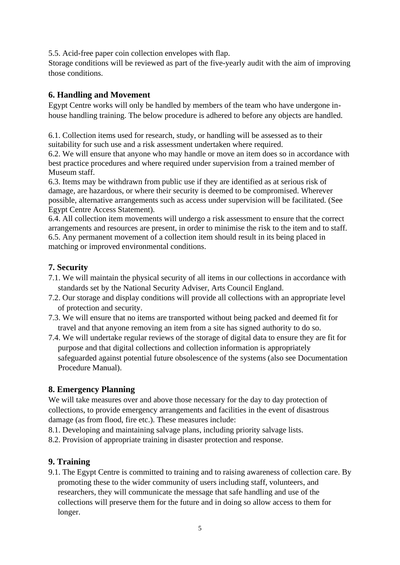5.5. Acid-free paper coin collection envelopes with flap.

Storage conditions will be reviewed as part of the five-yearly audit with the aim of improving those conditions.

## **6. Handling and Movement**

Egypt Centre works will only be handled by members of the team who have undergone inhouse handling training. The below procedure is adhered to before any objects are handled.

6.1. Collection items used for research, study, or handling will be assessed as to their suitability for such use and a risk assessment undertaken where required.

6.2. We will ensure that anyone who may handle or move an item does so in accordance with best practice procedures and where required under supervision from a trained member of Museum staff.

6.3. Items may be withdrawn from public use if they are identified as at serious risk of damage, are hazardous, or where their security is deemed to be compromised. Wherever possible, alternative arrangements such as access under supervision will be facilitated. (See Egypt Centre Access Statement).

6.4. All collection item movements will undergo a risk assessment to ensure that the correct arrangements and resources are present, in order to minimise the risk to the item and to staff. 6.5. Any permanent movement of a collection item should result in its being placed in matching or improved environmental conditions.

## **7. Security**

- 7.1. We will maintain the physical security of all items in our collections in accordance with standards set by the National Security Adviser, Arts Council England.
- 7.2. Our storage and display conditions will provide all collections with an appropriate level of protection and security.
- 7.3. We will ensure that no items are transported without being packed and deemed fit for travel and that anyone removing an item from a site has signed authority to do so.
- 7.4. We will undertake regular reviews of the storage of digital data to ensure they are fit for purpose and that digital collections and collection information is appropriately safeguarded against potential future obsolescence of the systems (also see Documentation Procedure Manual).

# **8. Emergency Planning**

We will take measures over and above those necessary for the day to day protection of collections, to provide emergency arrangements and facilities in the event of disastrous damage (as from flood, fire etc.). These measures include:

8.1. Developing and maintaining salvage plans, including priority salvage lists.

8.2. Provision of appropriate training in disaster protection and response.

#### **9. Training**

9.1. The Egypt Centre is committed to training and to raising awareness of collection care. By promoting these to the wider community of users including staff, volunteers, and researchers, they will communicate the message that safe handling and use of the collections will preserve them for the future and in doing so allow access to them for longer.